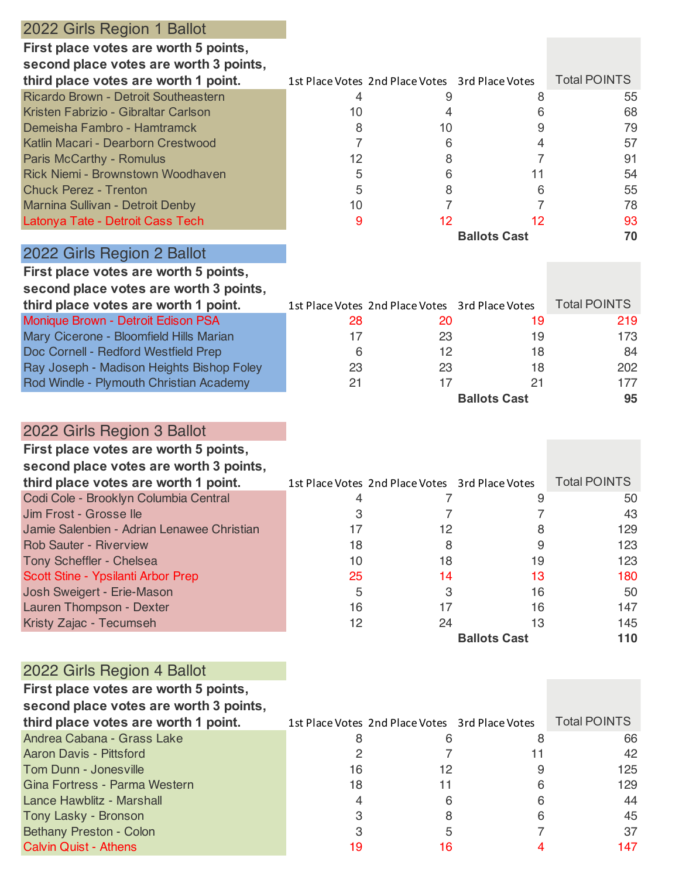| 2022 Girls Region 1 Ballot                                                    |          |                                                 |                           |                     |
|-------------------------------------------------------------------------------|----------|-------------------------------------------------|---------------------------|---------------------|
| First place votes are worth 5 points,                                         |          |                                                 |                           |                     |
| second place votes are worth 3 points,                                        |          |                                                 |                           |                     |
| third place votes are worth 1 point.                                          |          | 1st Place Votes 2nd Place Votes 3rd Place Votes |                           | <b>Total POINTS</b> |
| Ricardo Brown - Detroit Southeastern                                          | 4        | 9                                               | 8                         | 55                  |
| Kristen Fabrizio - Gibraltar Carlson                                          | 10       | 4                                               | 6                         | 68                  |
| Demeisha Fambro - Hamtramck                                                   | 8        | 10                                              | 9                         | 79                  |
| Katlin Macari - Dearborn Crestwood                                            | 7        | 6                                               | 4                         | 57                  |
| Paris McCarthy - Romulus                                                      | 12       | 8                                               | 7                         | 91                  |
| <b>Rick Niemi - Brownstown Woodhaven</b>                                      | 5        | 6                                               | 11                        | 54                  |
| <b>Chuck Perez - Trenton</b>                                                  | 5        | 8                                               | 6                         | 55                  |
| Marnina Sullivan - Detroit Denby                                              | 10       | $\overline{7}$                                  | 7                         | 78                  |
| Latonya Tate - Detroit Cass Tech                                              | 9        | 12                                              | 12<br><b>Ballots Cast</b> | 93<br>70            |
| 2022 Girls Region 2 Ballot                                                    |          |                                                 |                           |                     |
|                                                                               |          |                                                 |                           |                     |
| First place votes are worth 5 points,                                         |          |                                                 |                           |                     |
| second place votes are worth 3 points,                                        |          |                                                 |                           |                     |
| third place votes are worth 1 point.                                          |          | 1st Place Votes 2nd Place Votes 3rd Place Votes |                           | <b>Total POINTS</b> |
| Monique Brown - Detroit Edison PSA<br>Mary Cicerone - Bloomfield Hills Marian | 28<br>17 | 20<br>23                                        | 19<br>19                  | 219<br>173          |
| Doc Cornell - Redford Westfield Prep                                          | 6        | 12                                              | 18                        | 84                  |
| Ray Joseph - Madison Heights Bishop Foley                                     | 23       | 23                                              | 18                        | 202                 |
| Rod Windle - Plymouth Christian Academy                                       | 21       | 17                                              | 21                        | 177                 |
|                                                                               |          |                                                 | <b>Ballots Cast</b>       | 95                  |
|                                                                               |          |                                                 |                           |                     |
| 2022 Girls Region 3 Ballot                                                    |          |                                                 |                           |                     |
| First place votes are worth 5 points,                                         |          |                                                 |                           |                     |
| second place votes are worth 3 points,                                        |          |                                                 |                           |                     |
| third place votes are worth 1 point.                                          |          | 1st Place Votes 2nd Place Votes 3rd Place Votes |                           | <b>Total POINTS</b> |
| Codi Cole - Brooklyn Columbia Central                                         | 4        | 7                                               | 9                         | 50                  |
| Jim Frost - Grosse lle                                                        | 3        | 7                                               | 7                         | 43                  |
| Jamie Salenbien - Adrian Lenawee Christian                                    | 17       | 12                                              | 8                         | 129                 |
| <b>Rob Sauter - Riverview</b>                                                 | 18       | 8                                               | 9                         | 123                 |
| Tony Scheffler - Chelsea                                                      | 10       | 18                                              | 19                        | 123                 |
| Scott Stine - Ypsilanti Arbor Prep                                            | 25       | 14                                              | 13                        | 180                 |
| Josh Sweigert - Erie-Mason                                                    | 5        | 3                                               | 16                        | 50                  |
| Lauren Thompson - Dexter                                                      | 16       | 17                                              | 16                        | 147                 |
| Kristy Zajac - Tecumseh                                                       | 12       | 24                                              | 13                        | 145                 |
|                                                                               |          |                                                 | <b>Ballots Cast</b>       | 110                 |
| 2022 Girls Region 4 Ballot                                                    |          |                                                 |                           |                     |
| First place votes are worth 5 points,                                         |          |                                                 |                           |                     |
| second place votes are worth 3 points,                                        |          |                                                 |                           |                     |
| third place votes are worth 1 point.                                          |          | 1st Place Votes 2nd Place Votes 3rd Place Votes |                           | <b>Total POINTS</b> |
| Andrea Cabana - Grass Lake                                                    | 8        | 6                                               | 8                         | 66                  |
| Aaron Davis - Pittsford                                                       | 2        | 7                                               | 11                        | 42                  |
| Tom Dunn - Jonesville                                                         | 16       | 12                                              | 9                         | 125                 |
| Gina Fortress - Parma Western                                                 | 18       | 11                                              | 6                         | 129                 |
| Lance Hawblitz - Marshall                                                     | 4        | 6                                               | 6                         | 44                  |
| Tony Lasky - Bronson                                                          | 3        | 8                                               | 6                         | 45                  |
| Bethany Preston - Colon                                                       | 3        | 5                                               | 7                         | 37                  |
| <b>Calvin Quist - Athens</b>                                                  | 19       | 16                                              | 4                         | 147                 |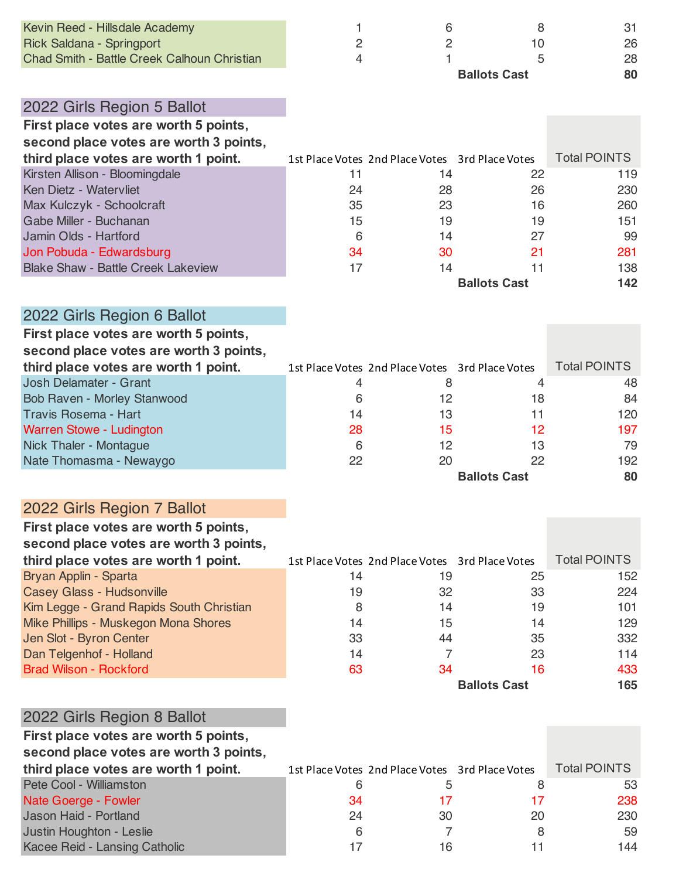| Kevin Reed - Hillsdale Academy              |    | 6                                               | 8                   | 31                  |
|---------------------------------------------|----|-------------------------------------------------|---------------------|---------------------|
| Rick Saldana - Springport                   | 2  | 2                                               | 10                  | 26                  |
| Chad Smith - Battle Creek Calhoun Christian | 4  |                                                 | 5                   | 28                  |
|                                             |    |                                                 | <b>Ballots Cast</b> | 80                  |
|                                             |    |                                                 |                     |                     |
| 2022 Girls Region 5 Ballot                  |    |                                                 |                     |                     |
| First place votes are worth 5 points,       |    |                                                 |                     |                     |
| second place votes are worth 3 points,      |    |                                                 |                     |                     |
| third place votes are worth 1 point.        |    | 1st Place Votes 2nd Place Votes 3rd Place Votes |                     | <b>Total POINTS</b> |
| Kirsten Allison - Bloomingdale              | 11 | 14                                              | 22                  | 119                 |
| Ken Dietz - Watervliet                      | 24 | 28                                              | 26                  | 230                 |
| Max Kulczyk - Schoolcraft                   | 35 | 23                                              | 16                  | 260                 |
| Gabe Miller - Buchanan                      | 15 | 19                                              | 19                  | 151                 |

Jamin Olds - Hartford 6 14 27 99

**Ballots Cast 142**

| Jon Pobuda - Edwardsburg                  |  | 281. |
|-------------------------------------------|--|------|
| <b>Blake Shaw - Battle Creek Lakeview</b> |  | 138  |

| First place votes are worth 5 points,  |    |                                                 |                     |                     |
|----------------------------------------|----|-------------------------------------------------|---------------------|---------------------|
| second place votes are worth 3 points, |    |                                                 |                     |                     |
| third place votes are worth 1 point.   |    | 1st Place Votes 2nd Place Votes 3rd Place Votes |                     | <b>Total POINTS</b> |
| Josh Delamater - Grant                 | 4  | 8                                               | 4                   | 48                  |
| Bob Raven - Morley Stanwood            | 6  | 12                                              | 18                  | 84                  |
| <b>Travis Rosema - Hart</b>            | 14 | 13                                              | 11                  | 120                 |
| Warren Stowe - Ludington               | 28 | 15                                              | 12                  | 197                 |
| Nick Thaler - Montague                 | 6  | 12                                              | 13                  | 79                  |
| Nate Thomasma - Newaygo                | 22 | 20                                              | 22                  | 192                 |
|                                        |    |                                                 | <b>Ballots Cast</b> | 80                  |

## 2022 Girls Region 7 Ballot

| First place votes are worth 5 points,    |    |                                                 |                     |                     |
|------------------------------------------|----|-------------------------------------------------|---------------------|---------------------|
| second place votes are worth 3 points,   |    |                                                 |                     |                     |
| third place votes are worth 1 point.     |    | 1st Place Votes 2nd Place Votes 3rd Place Votes |                     | <b>Total POINTS</b> |
| Bryan Applin - Sparta                    | 14 | 19                                              | 25                  | 152                 |
| <b>Casey Glass - Hudsonville</b>         | 19 | 32                                              | 33                  | 224                 |
| Kim Legge - Grand Rapids South Christian | 8  | 14                                              | 19                  | 101                 |
| Mike Phillips - Muskegon Mona Shores     | 14 | 15                                              | 14                  | 129                 |
| Jen Slot - Byron Center                  | 33 | 44                                              | 35                  | 332                 |
| Dan Telgenhof - Holland                  | 14 |                                                 | 23                  | 114                 |
| <b>Brad Wilson - Rockford</b>            | 63 | 34                                              | 16                  | 433                 |
|                                          |    |                                                 | <b>Ballots Cast</b> | 165                 |

| 2022 Girls Region 8 Ballot                                                      |    |                                                 |    |                     |
|---------------------------------------------------------------------------------|----|-------------------------------------------------|----|---------------------|
| First place votes are worth 5 points,<br>second place votes are worth 3 points, |    |                                                 |    |                     |
| third place votes are worth 1 point.                                            |    | 1st Place Votes 2nd Place Votes 3rd Place Votes |    | <b>Total POINTS</b> |
| Pete Cool - Williamston                                                         | 6  | 5                                               | 8  | 53                  |
| Nate Goerge - Fowler                                                            | 34 |                                                 | 17 | 238                 |
| Jason Haid - Portland                                                           | 24 | 30                                              | 20 | 230                 |
| Justin Houghton - Leslie                                                        | 6  |                                                 | 8  | 59                  |
| Kacee Reid - Lansing Catholic                                                   | 17 | 16                                              | 11 | 144                 |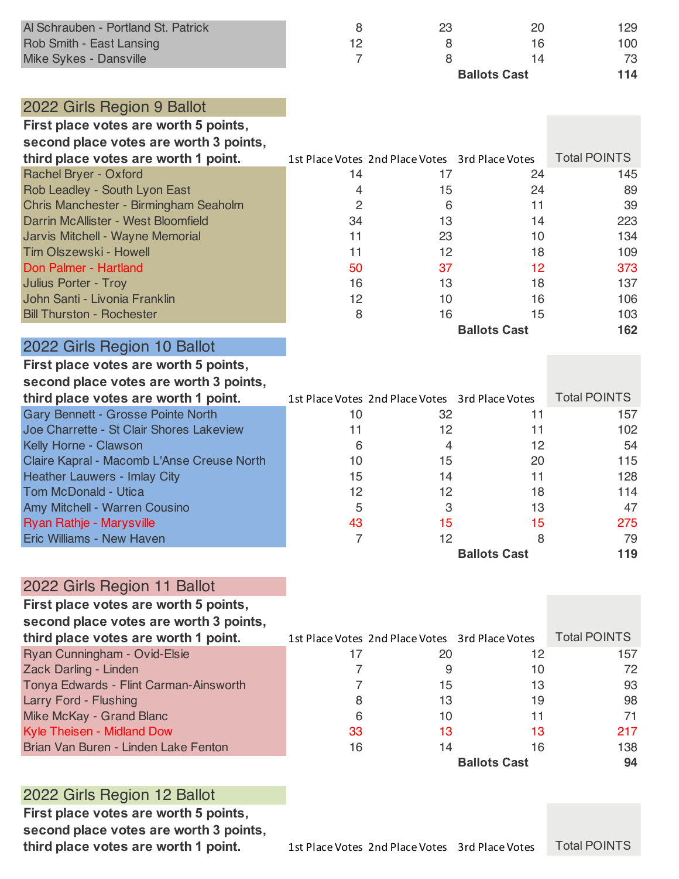| Al Schrauben - Portland St. Patrick<br>Rob Smith - East Lansing<br>Mike Sykes - Dansville | 8<br>12 | 23<br>8<br>8                                    | 20<br>16<br>14<br><b>Ballots Cast</b> | 129<br>100<br>73<br>114 |
|-------------------------------------------------------------------------------------------|---------|-------------------------------------------------|---------------------------------------|-------------------------|
| 2022 Girls Region 9 Ballot                                                                |         |                                                 |                                       |                         |
| First place votes are worth 5 points,<br>second place votes are worth 3 points,           |         |                                                 |                                       |                         |
| third place votes are worth 1 point.                                                      |         | 1st Place Votes 2nd Place Votes 3rd Place Votes |                                       | <b>Total POINTS</b>     |
| Rachel Bryer - Oxford                                                                     | 14      | 17                                              | 24                                    | 145                     |
| Rob Leadley - South Lyon East                                                             | 4       | 15                                              | 24                                    | 89                      |
| Chris Manchester - Birmingham Seaholm                                                     | 2       | 6                                               | 11                                    | 39                      |
| Darrin McAllister - West Bloomfield                                                       | 34      | 13                                              | 14                                    | 223                     |
| Jarvis Mitchell - Wayne Memorial                                                          |         | 23                                              | 10                                    | 134                     |

Tim Olszewski - Howell 11 12 18 109 Don Palmer - Hartland 50 37 12 373 **Julius Porter - Troy 16** 16 13 137 John Santi - Livonia Franklin 12 10 10 10 106 Bill Thurston - Rochester 8 16 15 103

| 2022 Girls Region 10 Ballot                                                     |    |                                                 |                     |                     |
|---------------------------------------------------------------------------------|----|-------------------------------------------------|---------------------|---------------------|
| First place votes are worth 5 points,<br>second place votes are worth 3 points, |    |                                                 |                     |                     |
| third place votes are worth 1 point.                                            |    | 1st Place Votes 2nd Place Votes 3rd Place Votes |                     | <b>Total POINTS</b> |
| Gary Bennett - Grosse Pointe North                                              | 10 | 32                                              | 11                  | 157                 |
| Joe Charrette - St Clair Shores Lakeview                                        | 11 | 12                                              | 11                  | 102                 |
| <b>Kelly Horne - Clawson</b>                                                    | 6  |                                                 | 12                  | 54                  |
| Claire Kapral - Macomb L'Anse Creuse North                                      | 10 | 15                                              | 20                  | 115                 |
| <b>Heather Lauwers - Imlay City</b>                                             | 15 | 14                                              | 11                  | 128                 |
| Tom McDonald - Utica                                                            | 12 | 12                                              | 18                  | 114                 |
| <b>Amy Mitchell - Warren Cousino</b>                                            | 5  | З                                               | 13                  | 47                  |
| <b>Ryan Rathje - Marysville</b>                                                 | 43 | 15                                              | 15                  | 275                 |
| <b>Eric Williams - New Haven</b>                                                |    | 12                                              | 8                   | 79                  |
|                                                                                 |    |                                                 | <b>Ballots Cast</b> | 119                 |

#### 2022 Girls Region 11 Ballot

| First place votes are worth 5 points,  |    |                                                 |                     |                     |
|----------------------------------------|----|-------------------------------------------------|---------------------|---------------------|
| second place votes are worth 3 points, |    |                                                 |                     |                     |
| third place votes are worth 1 point.   |    | 1st Place Votes 2nd Place Votes 3rd Place Votes |                     | <b>Total POINTS</b> |
| Ryan Cunningham - Ovid-Elsie           | 17 | 20                                              | 12                  | 157                 |
| Zack Darling - Linden                  |    |                                                 | 10                  | 72                  |
| Tonya Edwards - Flint Carman-Ainsworth |    | 15                                              | 13                  | 93                  |
| <b>Larry Ford - Flushing</b>           | 8  | 13                                              | 19                  | 98                  |
| Mike McKay - Grand Blanc               | 6  | 10                                              | 11                  | 71                  |
| <b>Kyle Theisen - Midland Dow</b>      | 33 | 13                                              | 13                  | 217                 |
| Brian Van Buren - Linden Lake Fenton   | 16 | 14                                              | 16                  | 138                 |
|                                        |    |                                                 | <b>Ballots Cast</b> | 94                  |

### 2022 Girls Region 12 Ballot

**First place votes are worth 5 points, second place votes are worth 3 points,**  **Ballots Cast 162**